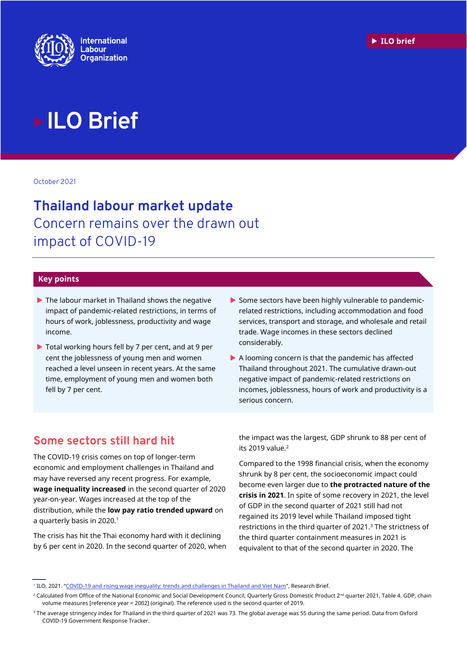

# **ILO Brief**

October 2021

## **Thailand labour market update** Concern remains over the drawn out impact of COVID-19

#### **Key points**

- The labour market in Thailand shows the negative impact of pandemic-related restrictions, in terms of hours of work, joblessness, productivity and wage income.
- Total working hours fell by 7 per cent**,** and at 9 per cent the joblessness of young men and women reached a level unseen in recent years. At the same time, employment of young men and women both fell by 7 per cent.
- $\triangleright$  Some sectors have been highly vulnerable to pandemicrelated restrictions, including accommodation and food services, transport and storage, and wholesale and retail trade. Wage incomes in these sectors declined considerably.
- $\blacktriangleright$  A looming concern is that the pandemic has affected Thailand throughout 2021. The cumulative drawn-out negative impact of pandemic-related restrictions on incomes, joblessness, hours of work and productivity is a serious concern.

## **Some sectors still hard hit**

The COVID-19 crisis comes on top of longer-term economic and employment challenges in Thailand and may have reversed any recent progress. For example, **wage inequality increased** in the second quarter of 2020 year-on-year. Wages increased at the top of the distribution, while the **low pay ratio trended upward** on a quarterly basis in 2020.<sup>1</sup>

The crisis has hit the Thai economy hard with it declining by 6 per cent in 2020. In the second quarter of 2020, when the impact was the largest, GDP shrunk to 88 per cent of its 2019 value. $2$ 

Compared to the 1998 financial crisis, when the economy shrunk by 8 per cent, the socioeconomic impact could become even larger due to **the protracted nature of the crisis in 2021**. In spite of some recovery in 2021, the level of GDP in the second quarter of 2021 still had not regained its 2019 level while Thailand imposed tight restrictions in the third quarter of 2021.<sup>3</sup> The strictness of the third quarter containment measures in 2021 is equivalent to that of the second quarter in 2020. The

<sup>&</sup>lt;sup>1</sup> ILO, 2021. "<u>[COVID-19 and rising wage inequality: trends and challenges in Thailand and Viet Nam](https://www.ilo.org/asia/publications/issue-briefs/WCMS_767475/lang--en/index.htm)</u>", Research Brief.

<sup>&</sup>lt;sup>2</sup> Calculated from Office of the National Economic and Social Development Council, Quarterly Gross Domestic Product 2<sup>nd</sup> quarter 2021, Table 4. GDP, chain volume measures [reference year = 2002] (original). The reference used is the second quarter of 2019.

<sup>&</sup>lt;sup>3</sup> The average stringency index for Thailand in the third quarter of 2021 was 73. The global average was 55 during the same period. Data from Oxford COVID-19 Government Response Tracker.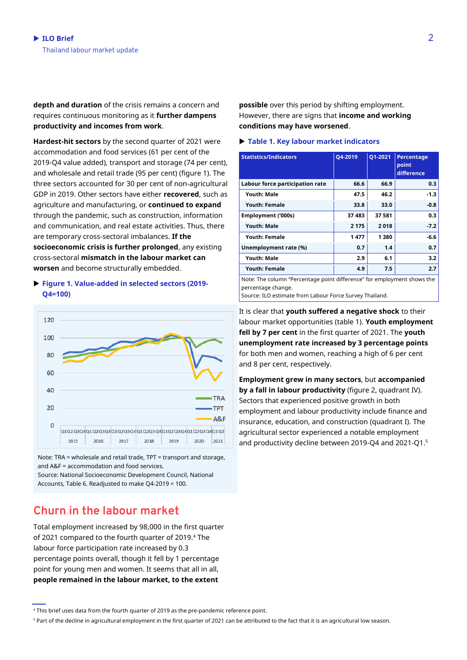**depth and duration** of the crisis remains a concern and requires continuous monitoring as it **further dampens productivity and incomes from work**.

**Hardest-hit sectors** by the second quarter of 2021 were accommodation and food services (61 per cent of the 2019-Q4 value added), transport and storage (74 per cent), and wholesale and retail trade (95 per cent) (figure 1). The three sectors accounted for 30 per cent of non-agricultural GDP in 2019. Other sectors have either **recovered**, such as agriculture and manufacturing, or **continued to expand** through the pandemic, such as construction, information and communication, and real estate activities. Thus, there are temporary cross-sectoral imbalances. **If the socioeconomic crisis is further prolonged**, any existing cross-sectoral **mismatch in the labour market can worsen** and become structurally embedded.

#### **Figure 1. Value-added in selected sectors (2019- Q4=100)**



Note: TRA = wholesale and retail trade, TPT = transport and storage, and A&F = accommodation and food services.

Source: National Socioeconomic Development Council, National Accounts, Table 6. Readjusted to make Q4-2019 = 100.

## **Churn in the labour market**

Total employment increased by 98,000 in the first quarter of 2021 compared to the fourth quarter of 2019.<sup>4</sup> The labour force participation rate increased by 0.3 percentage points overall, though it fell by 1 percentage point for young men and women. It seems that all in all, **people remained in the labour market, to the extent** 

**possible** over this period by shifting employment. However, there are signs that **income and working conditions may have worsened**.

#### **Table 1. Key labour market indicators**

| <b>Statistics/Indicators</b>                                            | Q4-2019 | Q1-2021 | Percentage<br>point<br>difference |
|-------------------------------------------------------------------------|---------|---------|-----------------------------------|
| Labour force participation rate                                         | 66.6    | 66.9    | 0.3                               |
| <b>Youth: Male</b>                                                      | 47.5    | 46.2    | $-1.3$                            |
| <b>Youth: Female</b>                                                    | 33.8    | 33.0    | $-0.8$                            |
| Employment ('000s)                                                      | 37483   | 37581   | 0.3                               |
| <b>Youth: Male</b>                                                      | 2 1 7 5 | 2018    | $-7.2$                            |
| <b>Youth: Female</b>                                                    | 1477    | 1380    | -6.6                              |
| Unemployment rate (%)                                                   | 0.7     | 1.4     | 0.7                               |
| <b>Youth: Male</b>                                                      | 2.9     | 6.1     | 3.2                               |
| <b>Youth: Female</b>                                                    | 4.9     | 7.5     | 2.7                               |
| Note: The column "Percentage point difference" for employment shows the |         |         |                                   |

Note: The column "Percentage point difference" for employment shows the percentage change.

Source: ILO estimate from Labour Force Survey Thailand.

It is clear that **youth suffered a negative shock** to their labour market opportunities (table 1). **Youth employment fell by 7 per cent** in the first quarter of 2021. The **youth unemployment rate increased by 3 percentage points** for both men and women, reaching a high of 6 per cent and 8 per cent, respectively.

**Employment grew in many sectors**, but **accompanied by a fall in labour productivity** (figure 2, quadrant IV). Sectors that experienced positive growth in both employment and labour productivity include finance and insurance, education, and construction (quadrant I). The agricultural sector experienced a notable employment and productivity decline between 2019-Q4 and 2021-Q1.5

<sup>4</sup> This brief uses data from the fourth quarter of 2019 as the pre-pandemic reference point.

<sup>&</sup>lt;sup>5</sup> Part of the decline in agricultural employment in the first quarter of 2021 can be attributed to the fact that it is an agricultural low season.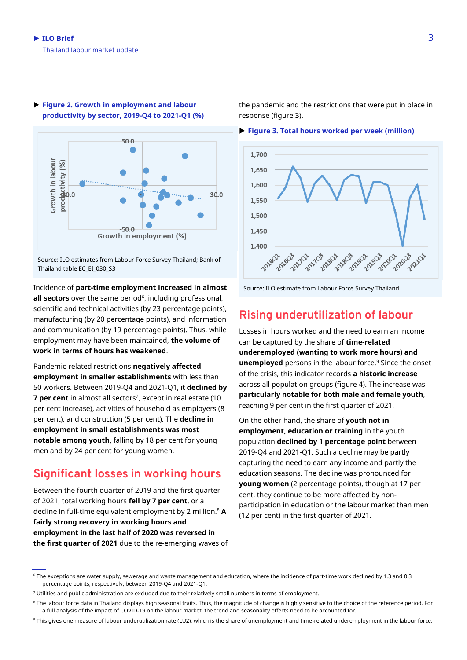

#### **Figure 2. Growth in employment and labour productivity by sector, 2019-Q4 to 2021-Q1 (%)**

Source: ILO estimates from Labour Force Survey Thailand; Bank of Thailand table EC\_EI\_030\_S3

#### Incidence of **part-time employment increased in almost**

**all sectors** over the same period<sup>6</sup>, including professional, scientific and technical activities (by 23 percentage points), manufacturing (by 20 percentage points), and information and communication (by 19 percentage points). Thus, while employment may have been maintained, **the volume of work in terms of hours has weakened**.

Pandemic-related restrictions **negatively affected employment in smaller establishments** with less than 50 workers. Between 2019-Q4 and 2021-Q1, it **declined by 7 per cent** in almost all sectors<sup>7</sup>, except in real estate (10 per cent increase), activities of household as employers (8 per cent), and construction (5 per cent). The **decline in employment in small establishments was most notable among youth,** falling by 18 per cent for young men and by 24 per cent for young women.

## **Significant losses in working hours**

Between the fourth quarter of 2019 and the first quarter of 2021, total working hours **fell by 7 per cent**, or a decline in full-time equivalent employment by 2 million.<sup>8</sup> **A fairly strong recovery in working hours and employment in the last half of 2020 was reversed in the first quarter of 2021** due to the re-emerging waves of the pandemic and the restrictions that were put in place in response (figure 3).

#### **Figure 3. Total hours worked per week (million)**



#### Source: ILO estimate from Labour Force Survey Thailand.

## **Rising underutilization of labour**

Losses in hours worked and the need to earn an income can be captured by the share of **time-related underemployed (wanting to work more hours) and unemployed** persons in the labour force.<sup>9</sup> Since the onset of the crisis, this indicator records **a historic increase** across all population groups (figure 4). The increase was **particularly notable for both male and female youth**, reaching 9 per cent in the first quarter of 2021.

On the other hand, the share of **youth not in employment, education or training** in the youth population **declined by 1 percentage point** between 2019-Q4 and 2021-Q1. Such a decline may be partly capturing the need to earn any income and partly the education seasons. The decline was pronounced for **young women** (2 percentage points), though at 17 per cent, they continue to be more affected by nonparticipation in education or the labour market than men (12 per cent) in the first quarter of 2021.

<sup>7</sup> Utilities and public administration are excluded due to their relatively small numbers in terms of employment.

<sup>6</sup> The exceptions are water supply, sewerage and waste management and education, where the incidence of part-time work declined by 1.3 and 0.3 percentage points, respectively, between 2019-Q4 and 2021-Q1.

<sup>&</sup>lt;sup>8</sup> The labour force data in Thailand displays high seasonal traits. Thus, the magnitude of change is highly sensitive to the choice of the reference period. For a full analysis of the impact of COVID-19 on the labour market, the trend and seasonality effects need to be accounted for.

<sup>9</sup> This gives one measure of labour underutilization rate (LU2), which is the share of unemployment and time-related underemployment in the labour force.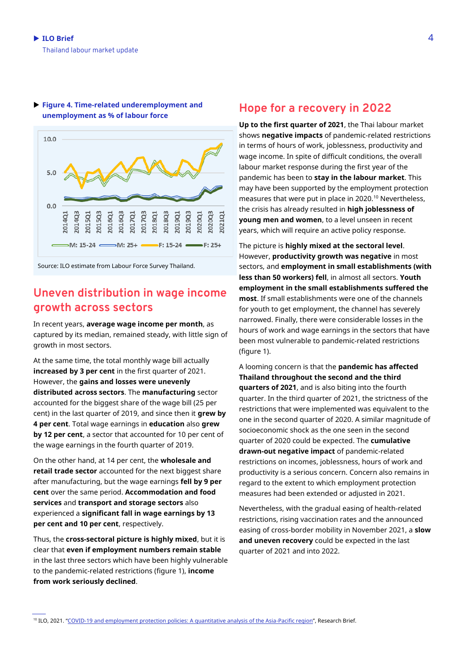

 **Figure 4. Time-related underemployment and unemployment as % of labour force**

Source: ILO estimate from Labour Force Survey Thailand.

## **Uneven distribution in wage income growth across sectors**

In recent years, **average wage income per month**, as captured by its median, remained steady, with little sign of growth in most sectors.

At the same time, the total monthly wage bill actually **increased by 3 per cent** in the first quarter of 2021. However, the **gains and losses were unevenly distributed across sectors**. The **manufacturing** sector accounted for the biggest share of the wage bill (25 per cent) in the last quarter of 2019, and since then it **grew by 4 per cent**. Total wage earnings in **education** also **grew by 12 per cent**, a sector that accounted for 10 per cent of the wage earnings in the fourth quarter of 2019.

On the other hand, at 14 per cent, the **wholesale and retail trade sector** accounted for the next biggest share after manufacturing, but the wage earnings **fell by 9 per cent** over the same period. **Accommodation and food services** and **transport and storage sectors** also experienced a **significant fall in wage earnings by 13 per cent and 10 per cent**, respectively.

Thus, the **cross-sectoral picture is highly mixed**, but it is clear that **even if employment numbers remain stable** in the last three sectors which have been highly vulnerable to the pandemic-related restrictions (figure 1), **income from work seriously declined**.

### **Hope for a recovery in 2022**

**Up to the first quarter of 2021**, the Thai labour market shows **negative impacts** of pandemic-related restrictions in terms of hours of work, joblessness, productivity and wage income. In spite of difficult conditions, the overall labour market response during the first year of the pandemic has been to **stay in the labour market**. This may have been supported by the employment protection measures that were put in place in 2020.<sup>10</sup> Nevertheless, the crisis has already resulted in **high joblessness of young men and women**, to a level unseen in recent years, which will require an active policy response.

The picture is **highly mixed at the sectoral level**. However, **productivity growth was negative** in most sectors, and **employment in small establishments (with less than 50 workers) fell**, in almost all sectors. **Youth employment in the small establishments suffered the most**. If small establishments were one of the channels for youth to get employment, the channel has severely narrowed. Finally, there were considerable losses in the hours of work and wage earnings in the sectors that have been most vulnerable to pandemic-related restrictions (figure 1).

A looming concern is that the **pandemic has affected Thailand throughout the second and the third quarters of 2021**, and is also biting into the fourth quarter. In the third quarter of 2021, the strictness of the restrictions that were implemented was equivalent to the one in the second quarter of 2020. A similar magnitude of socioeconomic shock as the one seen in the second quarter of 2020 could be expected. The **cumulative drawn-out negative impact** of pandemic-related restrictions on incomes, joblessness, hours of work and productivity is a serious concern. Concern also remains in regard to the extent to which employment protection measures had been extended or adjusted in 2021.

Nevertheless, with the gradual easing of health-related restrictions, rising vaccination rates and the announced easing of cross-border mobility in November 2021, a **slow and uneven recovery** could be expected in the last quarter of 2021 and into 2022.

<sup>&</sup>lt;sup>10</sup> ILO, 2021. "[COVID-19 and employment protection policies: A quantitative analysis of the Asia-Pacific region](https://www.ilo.org/wcmsp5/groups/public/---asia/---ro-bangkok/documents/briefingnote/wcms_810842.pdf)", Research Brief.